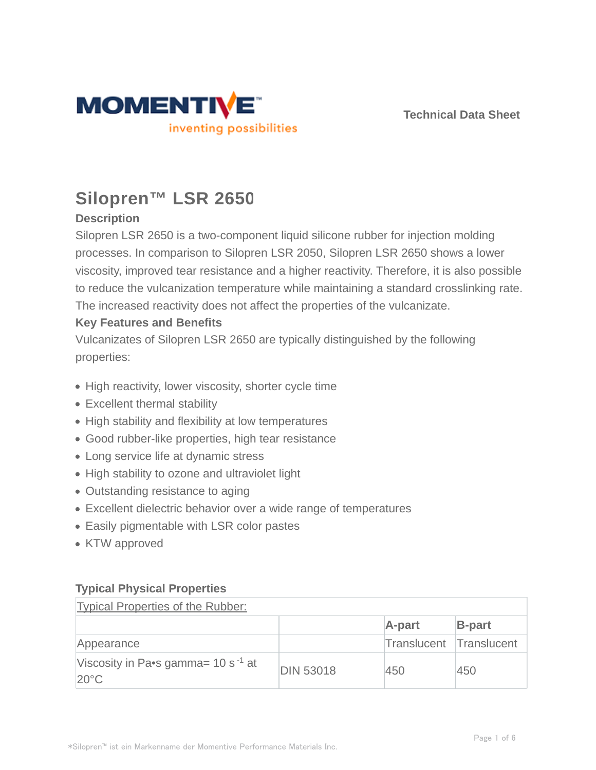



# **Silopren™ LSR 2650**

# **Description**

Silopren LSR 2650 is a two-component liquid silicone rubber for injection molding processes. In comparison to Silopren LSR 2050, Silopren LSR 2650 shows a lower viscosity, improved tear resistance and a higher reactivity. Therefore, it is also possible to reduce the vulcanization temperature while maintaining a standard crosslinking rate. The increased reactivity does not affect the properties of the vulcanizate.

# **Key Features and Benefits**

Vulcanizates of Silopren LSR 2650 are typically distinguished by the following properties:

- High reactivity, lower viscosity, shorter cycle time
- Excellent thermal stability
- High stability and flexibility at low temperatures
- Good rubber-like properties, high tear resistance
- Long service life at dynamic stress
- High stability to ozone and ultraviolet light
- Outstanding resistance to aging
- Excellent dielectric behavior over a wide range of temperatures
- Easily pigmentable with LSR color pastes
- KTW approved

# **Typical Physical Properties**

| Typical Properties of the Rubber:                         |                  |                         |               |  |  |
|-----------------------------------------------------------|------------------|-------------------------|---------------|--|--|
|                                                           |                  | A-part                  | <b>B-part</b> |  |  |
| Appearance                                                |                  | Translucent Translucent |               |  |  |
| Viscosity in Pa•s gamma= $10 s^{-1}$ at<br>$20^{\circ}$ C | <b>DIN 53018</b> | 450                     | 450           |  |  |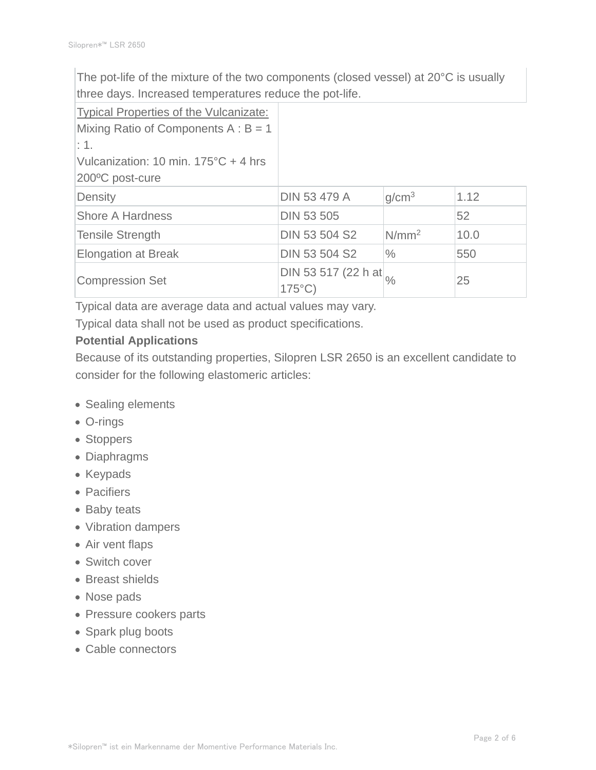The pot-life of the mixture of the two components (closed vessel) at 20°C is usually three days. Increased temperatures reduce the pot-life.

| Typical Properties of the Vulcanizate: |                                         |                   |      |
|----------------------------------------|-----------------------------------------|-------------------|------|
| Mixing Ratio of Components $A : B = 1$ |                                         |                   |      |
| $\pm$ 1.                               |                                         |                   |      |
| Vulcanization: 10 min. 175°C + 4 hrs   |                                         |                   |      |
| 200°C post-cure                        |                                         |                   |      |
| Density                                | <b>DIN 53 479 A</b>                     | q/cm <sup>3</sup> | 1.12 |
| <b>Shore A Hardness</b>                | <b>DIN 53 505</b>                       |                   | 52   |
| Tensile Strength                       | DIN 53 504 S2                           | N/mm <sup>2</sup> | 10.0 |
| <b>Elongation at Break</b>             | <b>DIN 53 504 S2</b>                    | $\frac{0}{0}$     | 550  |
| <b>Compression Set</b>                 | DIN 53 517 (22 h at<br>$175^{\circ}$ C) | $\frac{1}{2}$     | 25   |

Typical data are average data and actual values may vary.

Typical data shall not be used as product specifications.

# **Potential Applications**

Because of its outstanding properties, Silopren LSR 2650 is an excellent candidate to consider for the following elastomeric articles:

- Sealing elements
- O-rings
- Stoppers
- Diaphragms
- Keypads
- Pacifiers
- Baby teats
- Vibration dampers
- Air vent flaps
- Switch cover
- Breast shields
- Nose pads
- Pressure cookers parts
- Spark plug boots
- Cable connectors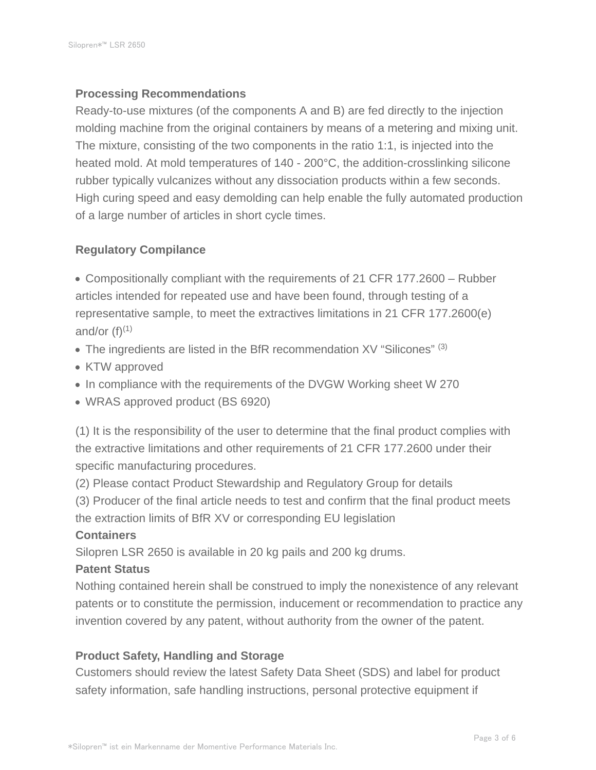### **Processing Recommendations**

Ready-to-use mixtures (of the components A and B) are fed directly to the injection molding machine from the original containers by means of a metering and mixing unit. The mixture, consisting of the two components in the ratio 1:1, is injected into the heated mold. At mold temperatures of 140 - 200°C, the addition-crosslinking silicone rubber typically vulcanizes without any dissociation products within a few seconds. High curing speed and easy demolding can help enable the fully automated production of a large number of articles in short cycle times.

## **Regulatory Compilance**

Compositionally compliant with the requirements of 21 CFR 177.2600 – Rubber articles intended for repeated use and have been found, through testing of a representative sample, to meet the extractives limitations in 21 CFR 177.2600(e) and/or  $(f)^{(1)}$ 

- The ingredients are listed in the BfR recommendation  $XY$  "Silicones"  $(3)$
- KTW approved
- In compliance with the requirements of the DVGW Working sheet W 270
- WRAS approved product (BS 6920)

(1) It is the responsibility of the user to determine that the final product complies with the extractive limitations and other requirements of 21 CFR 177.2600 under their specific manufacturing procedures.

(2) Please contact Product Stewardship and Regulatory Group for details

(3) Producer of the final article needs to test and confirm that the final product meets the extraction limits of BfR XV or corresponding EU legislation

#### **Containers**

Silopren LSR 2650 is available in 20 kg pails and 200 kg drums.

### **Patent Status**

Nothing contained herein shall be construed to imply the nonexistence of any relevant patents or to constitute the permission, inducement or recommendation to practice any invention covered by any patent, without authority from the owner of the patent.

### **Product Safety, Handling and Storage**

Customers should review the latest Safety Data Sheet (SDS) and label for product safety information, safe handling instructions, personal protective equipment if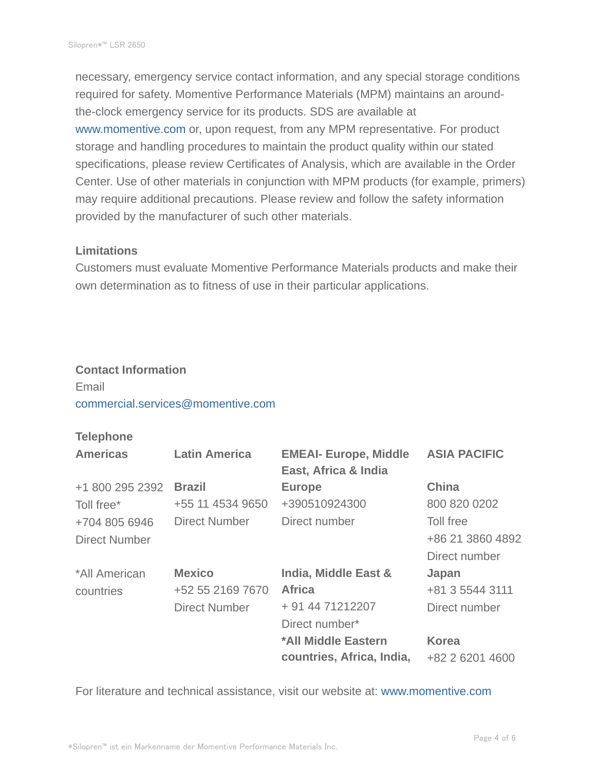necessary, emergency service contact information, and any special storage conditions required for safety. Momentive Performance Materials (MPM) maintains an aroundthe-clock emergency service for its products. SDS are available at www.momentive.com or, upon request, from any MPM representative. For product storage and handling procedures to maintain the product quality within our stated specifications, please review Certificates of Analysis, which are available in the Order Center. Use of other materials in conjunction with MPM products (for example, primers) may require additional precautions. Please review and follow the safety information provided by the manufacturer of such other materials.

#### **Limitations**

Customers must evaluate Momentive Performance Materials products and make their own determination as to fitness of use in their particular applications.

#### **Contact Information**

# Email commercial.services@momentive.com

#### **Telephone**

| <b>Americas</b>      | <b>Latin America</b> | <b>EMEAI- Europe, Middle</b><br>East, Africa & India | <b>ASIA PACIFIC</b> |
|----------------------|----------------------|------------------------------------------------------|---------------------|
| +1 800 295 2392      | <b>Brazil</b>        | <b>Europe</b>                                        | <b>China</b>        |
| Toll free*           | +55 11 4534 9650     | +390510924300                                        | 800 820 0202        |
| +704 805 6946        | Direct Number        | Direct number                                        | Toll free           |
| <b>Direct Number</b> |                      |                                                      | +86 21 3860 4892    |
|                      |                      |                                                      | Direct number       |
| *All American        | <b>Mexico</b>        | India, Middle East &                                 | Japan               |
| countries            | +52 55 2169 7670     | <b>Africa</b>                                        | +81 3 5544 3111     |
|                      | <b>Direct Number</b> | + 91 44 71212207                                     | Direct number       |
|                      |                      | Direct number*                                       |                     |
|                      |                      | *All Middle Eastern                                  | <b>Korea</b>        |
|                      |                      | countries, Africa, India,                            | +82 2 6201 4600     |

For literature and technical assistance, visit our website at: www.momentive.com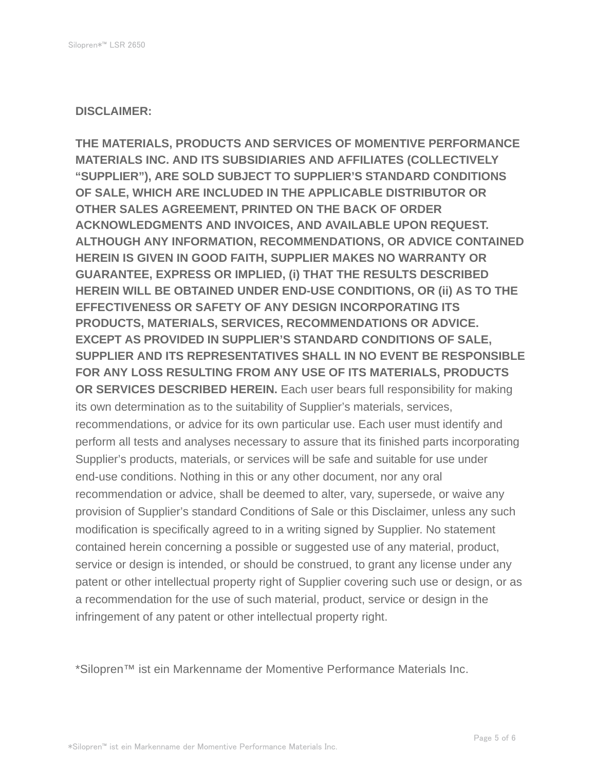#### **DISCLAIMER:**

**THE MATERIALS, PRODUCTS AND SERVICES OF MOMENTIVE PERFORMANCE MATERIALS INC. AND ITS SUBSIDIARIES AND AFFILIATES (COLLECTIVELY "SUPPLIER"), ARE SOLD SUBJECT TO SUPPLIER'S STANDARD CONDITIONS OF SALE, WHICH ARE INCLUDED IN THE APPLICABLE DISTRIBUTOR OR OTHER SALES AGREEMENT, PRINTED ON THE BACK OF ORDER ACKNOWLEDGMENTS AND INVOICES, AND AVAILABLE UPON REQUEST. ALTHOUGH ANY INFORMATION, RECOMMENDATIONS, OR ADVICE CONTAINED HEREIN IS GIVEN IN GOOD FAITH, SUPPLIER MAKES NO WARRANTY OR GUARANTEE, EXPRESS OR IMPLIED, (i) THAT THE RESULTS DESCRIBED HEREIN WILL BE OBTAINED UNDER END-USE CONDITIONS, OR (ii) AS TO THE EFFECTIVENESS OR SAFETY OF ANY DESIGN INCORPORATING ITS PRODUCTS, MATERIALS, SERVICES, RECOMMENDATIONS OR ADVICE. EXCEPT AS PROVIDED IN SUPPLIER'S STANDARD CONDITIONS OF SALE, SUPPLIER AND ITS REPRESENTATIVES SHALL IN NO EVENT BE RESPONSIBLE FOR ANY LOSS RESULTING FROM ANY USE OF ITS MATERIALS, PRODUCTS OR SERVICES DESCRIBED HEREIN.** Each user bears full responsibility for making its own determination as to the suitability of Supplier's materials, services, recommendations, or advice for its own particular use. Each user must identify and perform all tests and analyses necessary to assure that its finished parts incorporating Supplier's products, materials, or services will be safe and suitable for use under end-use conditions. Nothing in this or any other document, nor any oral recommendation or advice, shall be deemed to alter, vary, supersede, or waive any provision of Supplier's standard Conditions of Sale or this Disclaimer, unless any such modification is specifically agreed to in a writing signed by Supplier. No statement contained herein concerning a possible or suggested use of any material, product, service or design is intended, or should be construed, to grant any license under any patent or other intellectual property right of Supplier covering such use or design, or as a recommendation for the use of such material, product, service or design in the infringement of any patent or other intellectual property right.

\*Silopren™ ist ein Markenname der Momentive Performance Materials Inc.